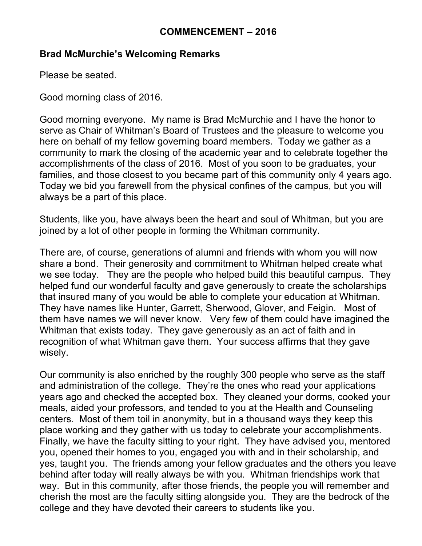#### **COMMENCEMENT – 2016**

#### **Brad McMurchie's Welcoming Remarks**

Please be seated.

Good morning class of 2016.

Good morning everyone. My name is Brad McMurchie and I have the honor to serve as Chair of Whitman's Board of Trustees and the pleasure to welcome you here on behalf of my fellow governing board members. Today we gather as a community to mark the closing of the academic year and to celebrate together the accomplishments of the class of 2016. Most of you soon to be graduates, your families, and those closest to you became part of this community only 4 years ago. Today we bid you farewell from the physical confines of the campus, but you will always be a part of this place.

Students, like you, have always been the heart and soul of Whitman, but you are joined by a lot of other people in forming the Whitman community.

There are, of course, generations of alumni and friends with whom you will now share a bond. Their generosity and commitment to Whitman helped create what we see today. They are the people who helped build this beautiful campus. They helped fund our wonderful faculty and gave generously to create the scholarships that insured many of you would be able to complete your education at Whitman. They have names like Hunter, Garrett, Sherwood, Glover, and Feigin. Most of them have names we will never know. Very few of them could have imagined the Whitman that exists today. They gave generously as an act of faith and in recognition of what Whitman gave them. Your success affirms that they gave wisely.

Our community is also enriched by the roughly 300 people who serve as the staff and administration of the college. They're the ones who read your applications years ago and checked the accepted box. They cleaned your dorms, cooked your meals, aided your professors, and tended to you at the Health and Counseling centers. Most of them toil in anonymity, but in a thousand ways they keep this place working and they gather with us today to celebrate your accomplishments. Finally, we have the faculty sitting to your right. They have advised you, mentored you, opened their homes to you, engaged you with and in their scholarship, and yes, taught you. The friends among your fellow graduates and the others you leave behind after today will really always be with you. Whitman friendships work that way. But in this community, after those friends, the people you will remember and cherish the most are the faculty sitting alongside you. They are the bedrock of the college and they have devoted their careers to students like you.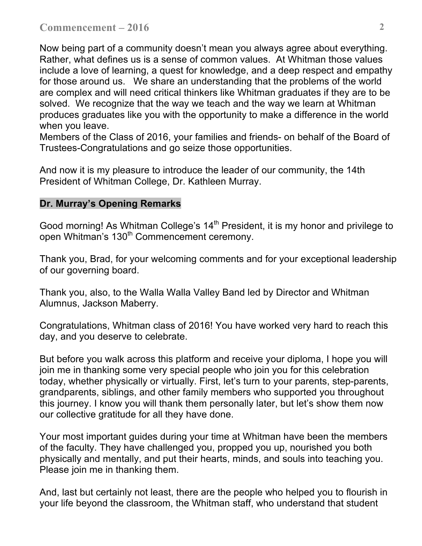Now being part of a community doesn't mean you always agree about everything. Rather, what defines us is a sense of common values. At Whitman those values include a love of learning, a quest for knowledge, and a deep respect and empathy for those around us. We share an understanding that the problems of the world are complex and will need critical thinkers like Whitman graduates if they are to be solved. We recognize that the way we teach and the way we learn at Whitman produces graduates like you with the opportunity to make a difference in the world when you leave.

Members of the Class of 2016, your families and friends- on behalf of the Board of Trustees-Congratulations and go seize those opportunities.

And now it is my pleasure to introduce the leader of our community, the 14th President of Whitman College, Dr. Kathleen Murray.

#### **Dr. Murray's Opening Remarks**

Good morning! As Whitman College's 14<sup>th</sup> President, it is my honor and privilege to open Whitman's 130<sup>th</sup> Commencement ceremony.

Thank you, Brad, for your welcoming comments and for your exceptional leadership of our governing board.

Thank you, also, to the Walla Walla Valley Band led by Director and Whitman Alumnus, Jackson Maberry.

Congratulations, Whitman class of 2016! You have worked very hard to reach this day, and you deserve to celebrate.

But before you walk across this platform and receive your diploma, I hope you will join me in thanking some very special people who join you for this celebration today, whether physically or virtually. First, let's turn to your parents, step-parents, grandparents, siblings, and other family members who supported you throughout this journey. I know you will thank them personally later, but let's show them now our collective gratitude for all they have done.

Your most important guides during your time at Whitman have been the members of the faculty. They have challenged you, propped you up, nourished you both physically and mentally, and put their hearts, minds, and souls into teaching you. Please join me in thanking them.

And, last but certainly not least, there are the people who helped you to flourish in your life beyond the classroom, the Whitman staff, who understand that student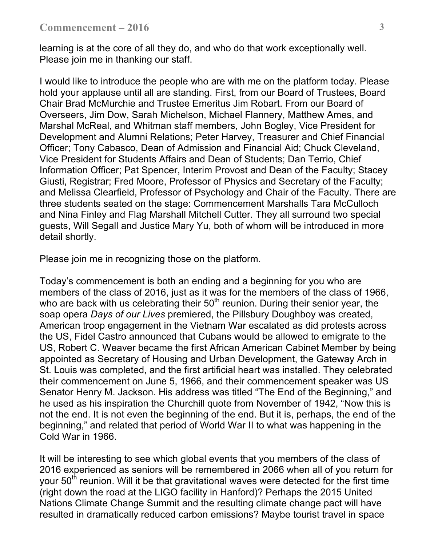learning is at the core of all they do, and who do that work exceptionally well. Please join me in thanking our staff.

I would like to introduce the people who are with me on the platform today. Please hold your applause until all are standing. First, from our Board of Trustees, Board Chair Brad McMurchie and Trustee Emeritus Jim Robart. From our Board of Overseers, Jim Dow, Sarah Michelson, Michael Flannery, Matthew Ames, and Marshal McReal, and Whitman staff members, John Bogley, Vice President for Development and Alumni Relations; Peter Harvey, Treasurer and Chief Financial Officer; Tony Cabasco, Dean of Admission and Financial Aid; Chuck Cleveland, Vice President for Students Affairs and Dean of Students; Dan Terrio, Chief Information Officer; Pat Spencer, Interim Provost and Dean of the Faculty; Stacey Giusti, Registrar; Fred Moore, Professor of Physics and Secretary of the Faculty; and Melissa Clearfield, Professor of Psychology and Chair of the Faculty. There are three students seated on the stage: Commencement Marshalls Tara McCulloch and Nina Finley and Flag Marshall Mitchell Cutter. They all surround two special guests, Will Segall and Justice Mary Yu, both of whom will be introduced in more detail shortly.

Please join me in recognizing those on the platform.

Today's commencement is both an ending and a beginning for you who are members of the class of 2016, just as it was for the members of the class of 1966, who are back with us celebrating their  $50<sup>th</sup>$  reunion. During their senior year, the soap opera *Days of our Lives* premiered, the Pillsbury Doughboy was created, American troop engagement in the Vietnam War escalated as did protests across the US, Fidel Castro announced that Cubans would be allowed to emigrate to the US, Robert C. Weaver became the first African American Cabinet Member by being appointed as Secretary of Housing and Urban Development, the Gateway Arch in St. Louis was completed, and the first artificial heart was installed. They celebrated their commencement on June 5, 1966, and their commencement speaker was US Senator Henry M. Jackson. His address was titled "The End of the Beginning," and he used as his inspiration the Churchill quote from November of 1942, "Now this is not the end. It is not even the beginning of the end. But it is, perhaps, the end of the beginning," and related that period of World War II to what was happening in the Cold War in 1966.

It will be interesting to see which global events that you members of the class of 2016 experienced as seniors will be remembered in 2066 when all of you return for your  $50<sup>th</sup>$  reunion. Will it be that gravitational waves were detected for the first time (right down the road at the LIGO facility in Hanford)? Perhaps the 2015 United Nations Climate Change Summit and the resulting climate change pact will have resulted in dramatically reduced carbon emissions? Maybe tourist travel in space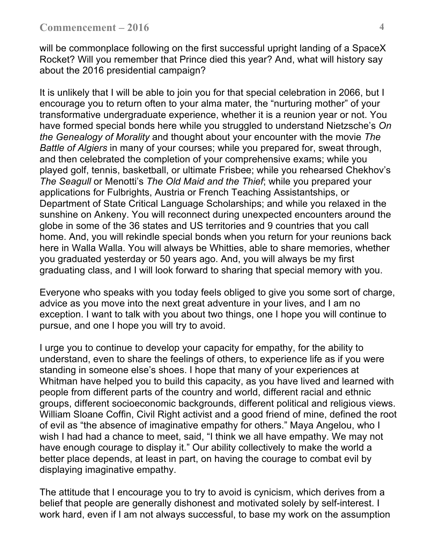will be commonplace following on the first successful upright landing of a SpaceX Rocket? Will you remember that Prince died this year? And, what will history say about the 2016 presidential campaign?

It is unlikely that I will be able to join you for that special celebration in 2066, but I encourage you to return often to your alma mater, the "nurturing mother" of your transformative undergraduate experience, whether it is a reunion year or not. You have formed special bonds here while you struggled to understand Nietzsche's *On the Genealogy of Morality* and thought about your encounter with the movie *The Battle of Algiers* in many of your courses; while you prepared for, sweat through, and then celebrated the completion of your comprehensive exams; while you played golf, tennis, basketball, or ultimate Frisbee; while you rehearsed Chekhov's *The Seagull* or Menotti's *The Old Maid and the Thief*; while you prepared your applications for Fulbrights, Austria or French Teaching Assistantships, or Department of State Critical Language Scholarships; and while you relaxed in the sunshine on Ankeny. You will reconnect during unexpected encounters around the globe in some of the 36 states and US territories and 9 countries that you call home. And, you will rekindle special bonds when you return for your reunions back here in Walla Walla. You will always be Whitties, able to share memories, whether you graduated yesterday or 50 years ago. And, you will always be my first graduating class, and I will look forward to sharing that special memory with you.

Everyone who speaks with you today feels obliged to give you some sort of charge, advice as you move into the next great adventure in your lives, and I am no exception. I want to talk with you about two things, one I hope you will continue to pursue, and one I hope you will try to avoid.

I urge you to continue to develop your capacity for empathy, for the ability to understand, even to share the feelings of others, to experience life as if you were standing in someone else's shoes. I hope that many of your experiences at Whitman have helped you to build this capacity, as you have lived and learned with people from different parts of the country and world, different racial and ethnic groups, different socioeconomic backgrounds, different political and religious views. William Sloane Coffin, Civil Right activist and a good friend of mine, defined the root of evil as "the absence of imaginative empathy for others." Maya Angelou, who I wish I had had a chance to meet, said, "I think we all have empathy. We may not have enough courage to display it." Our ability collectively to make the world a better place depends, at least in part, on having the courage to combat evil by displaying imaginative empathy.

The attitude that I encourage you to try to avoid is cynicism, which derives from a belief that people are generally dishonest and motivated solely by self-interest. I work hard, even if I am not always successful, to base my work on the assumption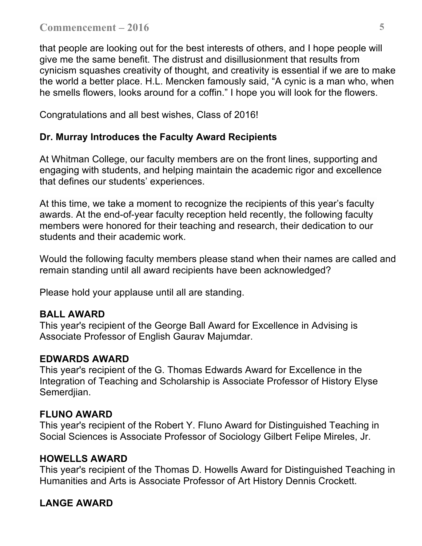that people are looking out for the best interests of others, and I hope people will give me the same benefit. The distrust and disillusionment that results from cynicism squashes creativity of thought, and creativity is essential if we are to make the world a better place. H.L. Mencken famously said, "A cynic is a man who, when he smells flowers, looks around for a coffin." I hope you will look for the flowers.

Congratulations and all best wishes, Class of 2016!

## **Dr. Murray Introduces the Faculty Award Recipients**

At Whitman College, our faculty members are on the front lines, supporting and engaging with students, and helping maintain the academic rigor and excellence that defines our students' experiences.

At this time, we take a moment to recognize the recipients of this year's faculty awards. At the end-of-year faculty reception held recently, the following faculty members were honored for their teaching and research, their dedication to our students and their academic work.

Would the following faculty members please stand when their names are called and remain standing until all award recipients have been acknowledged?

Please hold your applause until all are standing.

# **BALL AWARD**

This year's recipient of the George Ball Award for Excellence in Advising is Associate Professor of English Gaurav Majumdar.

## **EDWARDS AWARD**

This year's recipient of the G. Thomas Edwards Award for Excellence in the Integration of Teaching and Scholarship is Associate Professor of History Elyse Semerdjian.

## **FLUNO AWARD**

This year's recipient of the Robert Y. Fluno Award for Distinguished Teaching in Social Sciences is Associate Professor of Sociology Gilbert Felipe Mireles, Jr.

## **HOWELLS AWARD**

This year's recipient of the Thomas D. Howells Award for Distinguished Teaching in Humanities and Arts is Associate Professor of Art History Dennis Crockett.

# **LANGE AWARD**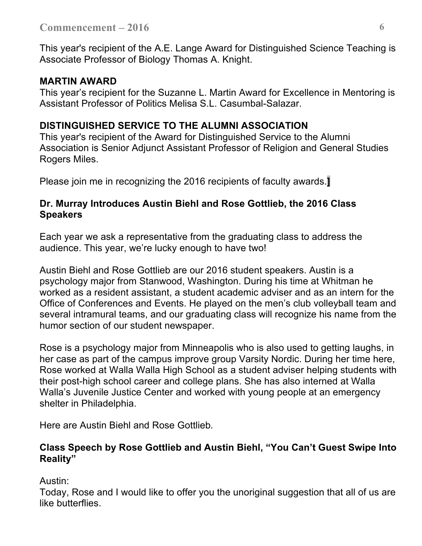This year's recipient of the A.E. Lange Award for Distinguished Science Teaching is Associate Professor of Biology Thomas A. Knight.

## **MARTIN AWARD**

This year's recipient for the Suzanne L. Martin Award for Excellence in Mentoring is Assistant Professor of Politics Melisa S.L. Casumbal-Salazar.

# **DISTINGUISHED SERVICE TO THE ALUMNI ASSOCIATION**

This year's recipient of the Award for Distinguished Service to the Alumni Association is Senior Adjunct Assistant Professor of Religion and General Studies Rogers Miles.

Please join me in recognizing the 2016 recipients of faculty awards.**]**

## **Dr. Murray Introduces Austin Biehl and Rose Gottlieb, the 2016 Class Speakers**

Each year we ask a representative from the graduating class to address the audience. This year, we're lucky enough to have two!

Austin Biehl and Rose Gottlieb are our 2016 student speakers. Austin is a psychology major from Stanwood, Washington. During his time at Whitman he worked as a resident assistant, a student academic adviser and as an intern for the Office of Conferences and Events. He played on the men's club volleyball team and several intramural teams, and our graduating class will recognize his name from the humor section of our student newspaper.

Rose is a psychology major from Minneapolis who is also used to getting laughs, in her case as part of the campus improve group Varsity Nordic. During her time here, Rose worked at Walla Walla High School as a student adviser helping students with their post-high school career and college plans. She has also interned at Walla Walla's Juvenile Justice Center and worked with young people at an emergency shelter in Philadelphia.

Here are Austin Biehl and Rose Gottlieb*.*

#### **Class Speech by Rose Gottlieb and Austin Biehl, "You Can't Guest Swipe Into Reality"**

Austin:

Today, Rose and I would like to offer you the unoriginal suggestion that all of us are like butterflies.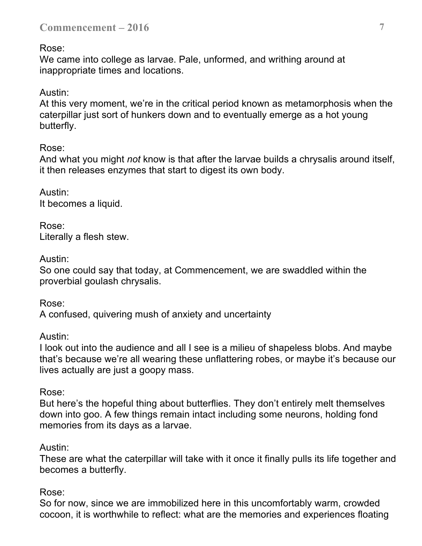Rose:

We came into college as larvae. Pale, unformed, and writhing around at inappropriate times and locations.

Austin:

At this very moment, we're in the critical period known as metamorphosis when the caterpillar just sort of hunkers down and to eventually emerge as a hot young butterfly.

Rose:

And what you might *not* know is that after the larvae builds a chrysalis around itself, it then releases enzymes that start to digest its own body.

Austin: It becomes a liquid.

Rose: Literally a flesh stew.

Austin:

So one could say that today, at Commencement, we are swaddled within the proverbial goulash chrysalis.

Rose:

A confused, quivering mush of anxiety and uncertainty

Austin:

I look out into the audience and all I see is a milieu of shapeless blobs. And maybe that's because we're all wearing these unflattering robes, or maybe it's because our lives actually are just a goopy mass.

Rose:

But here's the hopeful thing about butterflies. They don't entirely melt themselves down into goo. A few things remain intact including some neurons, holding fond memories from its days as a larvae.

# Austin:

These are what the caterpillar will take with it once it finally pulls its life together and becomes a butterfly.

Rose:

So for now, since we are immobilized here in this uncomfortably warm, crowded cocoon, it is worthwhile to reflect: what are the memories and experiences floating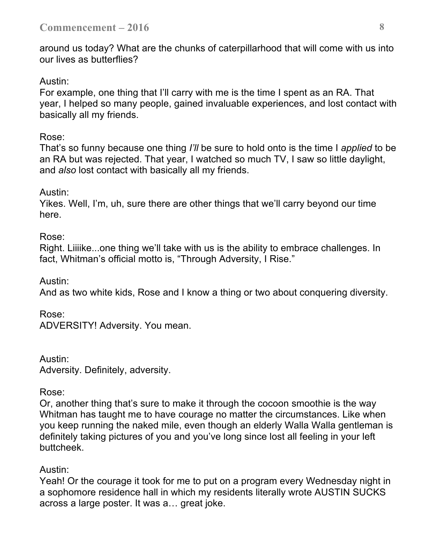around us today? What are the chunks of caterpillarhood that will come with us into our lives as butterflies?

#### Austin:

For example, one thing that I'll carry with me is the time I spent as an RA. That year, I helped so many people, gained invaluable experiences, and lost contact with basically all my friends.

#### Rose:

That's so funny because one thing *I'll* be sure to hold onto is the time I *applied* to be an RA but was rejected. That year, I watched so much TV, I saw so little daylight, and *also* lost contact with basically all my friends.

## Austin:

Yikes. Well, I'm, uh, sure there are other things that we'll carry beyond our time here.

#### Rose:

Right. Liiiike...one thing we'll take with us is the ability to embrace challenges. In fact, Whitman's official motto is, "Through Adversity, I Rise."

#### Austin:

And as two white kids, Rose and I know a thing or two about conquering diversity.

## Rose:

ADVERSITY! Adversity. You mean.

Austin: Adversity. Definitely, adversity.

#### Rose:

Or, another thing that's sure to make it through the cocoon smoothie is the way Whitman has taught me to have courage no matter the circumstances. Like when you keep running the naked mile, even though an elderly Walla Walla gentleman is definitely taking pictures of you and you've long since lost all feeling in your left buttcheek.

## Austin:

Yeah! Or the courage it took for me to put on a program every Wednesday night in a sophomore residence hall in which my residents literally wrote AUSTIN SUCKS across a large poster. It was a… great joke.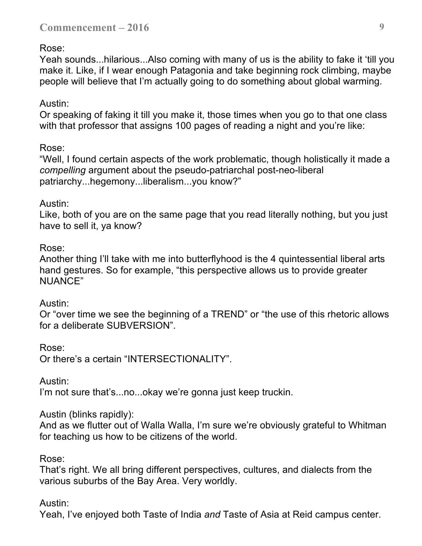#### Rose:

Yeah sounds...hilarious...Also coming with many of us is the ability to fake it 'till you make it. Like, if I wear enough Patagonia and take beginning rock climbing, maybe people will believe that I'm actually going to do something about global warming.

#### Austin:

Or speaking of faking it till you make it, those times when you go to that one class with that professor that assigns 100 pages of reading a night and you're like:

#### Rose:

"Well, I found certain aspects of the work problematic, though holistically it made a *compelling* argument about the pseudo-patriarchal post-neo-liberal patriarchy...hegemony...liberalism...you know?"

#### Austin:

Like, both of you are on the same page that you read literally nothing, but you just have to sell it, ya know?

#### Rose:

Another thing I'll take with me into butterflyhood is the 4 quintessential liberal arts hand gestures. So for example, "this perspective allows us to provide greater NUANCE"

#### Austin:

Or "over time we see the beginning of a TREND" or "the use of this rhetoric allows for a deliberate SUBVERSION".

#### Rose:

Or there's a certain "INTERSECTIONALITY".

Austin:

I'm not sure that's...no...okay we're gonna just keep truckin.

#### Austin (blinks rapidly):

And as we flutter out of Walla Walla, I'm sure we're obviously grateful to Whitman for teaching us how to be citizens of the world.

Rose:

That's right. We all bring different perspectives, cultures, and dialects from the various suburbs of the Bay Area. Very worldly.

## Austin:

Yeah, I've enjoyed both Taste of India *and* Taste of Asia at Reid campus center.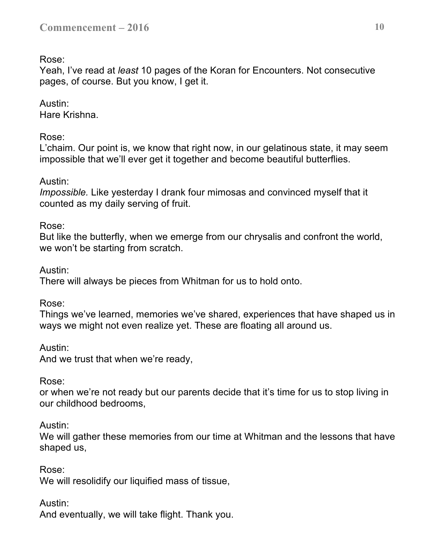Rose:

Yeah, I've read at *least* 10 pages of the Koran for Encounters. Not consecutive pages, of course. But you know, I get it.

# Austin:

Hare Krishna.

## Rose:

L'chaim. Our point is, we know that right now, in our gelatinous state, it may seem impossible that we'll ever get it together and become beautiful butterflies.

## Austin:

*Impossible.* Like yesterday I drank four mimosas and convinced myself that it counted as my daily serving of fruit.

## Rose:

But like the butterfly, when we emerge from our chrysalis and confront the world, we won't be starting from scratch.

Austin:

There will always be pieces from Whitman for us to hold onto.

Rose:

Things we've learned, memories we've shared, experiences that have shaped us in ways we might not even realize yet. These are floating all around us.

Austin:

And we trust that when we're ready,

#### Rose:

or when we're not ready but our parents decide that it's time for us to stop living in our childhood bedrooms,

#### Austin:

We will gather these memories from our time at Whitman and the lessons that have shaped us,

Rose:

We will resolidify our liquified mass of tissue,

## Austin:

And eventually, we will take flight. Thank you.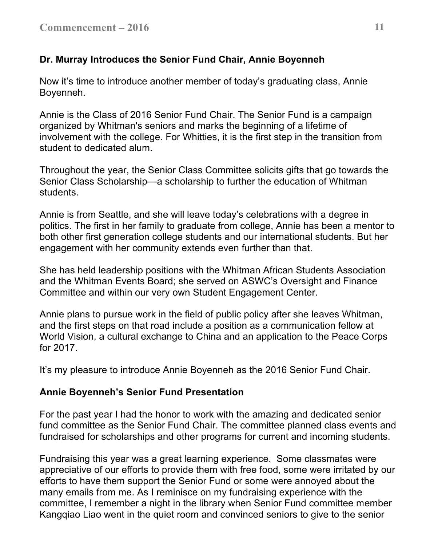# **Dr. Murray Introduces the Senior Fund Chair, Annie Boyenneh**

Now it's time to introduce another member of today's graduating class, Annie Boyenneh.

Annie is the Class of 2016 Senior Fund Chair. The Senior Fund is a campaign organized by Whitman's seniors and marks the beginning of a lifetime of involvement with the college. For Whitties, it is the first step in the transition from student to dedicated alum.

Throughout the year, the Senior Class Committee solicits gifts that go towards the Senior Class Scholarship—a scholarship to further the education of Whitman students.

Annie is from Seattle, and she will leave today's celebrations with a degree in politics. The first in her family to graduate from college, Annie has been a mentor to both other first generation college students and our international students. But her engagement with her community extends even further than that.

She has held leadership positions with the Whitman African Students Association and the Whitman Events Board; she served on ASWC's Oversight and Finance Committee and within our very own Student Engagement Center.

Annie plans to pursue work in the field of public policy after she leaves Whitman, and the first steps on that road include a position as a communication fellow at World Vision, a cultural exchange to China and an application to the Peace Corps for 2017.

It's my pleasure to introduce Annie Boyenneh as the 2016 Senior Fund Chair.

## **Annie Boyenneh's Senior Fund Presentation**

For the past year I had the honor to work with the amazing and dedicated senior fund committee as the Senior Fund Chair. The committee planned class events and fundraised for scholarships and other programs for current and incoming students.

Fundraising this year was a great learning experience. Some classmates were appreciative of our efforts to provide them with free food, some were irritated by our efforts to have them support the Senior Fund or some were annoyed about the many emails from me. As I reminisce on my fundraising experience with the committee, I remember a night in the library when Senior Fund committee member Kangqiao Liao went in the quiet room and convinced seniors to give to the senior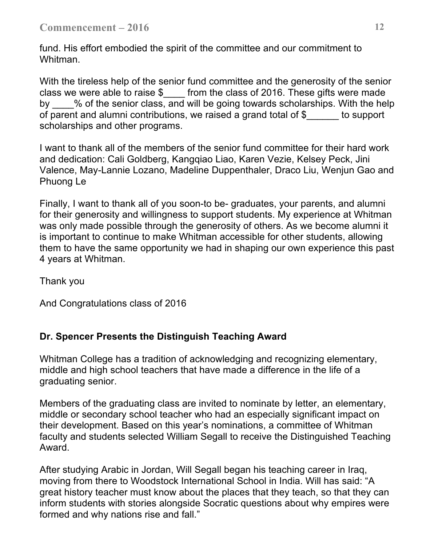fund. His effort embodied the spirit of the committee and our commitment to Whitman.

With the tireless help of the senior fund committee and the generosity of the senior class we were able to raise \$\_\_\_\_ from the class of 2016. These gifts were made by \_\_\_\_% of the senior class, and will be going towards scholarships. With the help of parent and alumni contributions, we raised a grand total of \$\_\_\_\_\_\_ to support scholarships and other programs.

I want to thank all of the members of the senior fund committee for their hard work and dedication: Cali Goldberg, Kangqiao Liao, Karen Vezie, Kelsey Peck, Jini Valence, May-Lannie Lozano, Madeline Duppenthaler, Draco Liu, Wenjun Gao and Phuong Le

Finally, I want to thank all of you soon-to be- graduates, your parents, and alumni for their generosity and willingness to support students. My experience at Whitman was only made possible through the generosity of others. As we become alumni it is important to continue to make Whitman accessible for other students, allowing them to have the same opportunity we had in shaping our own experience this past 4 years at Whitman.

Thank you

And Congratulations class of 2016

# **Dr. Spencer Presents the Distinguish Teaching Award**

Whitman College has a tradition of acknowledging and recognizing elementary, middle and high school teachers that have made a difference in the life of a graduating senior.

Members of the graduating class are invited to nominate by letter, an elementary, middle or secondary school teacher who had an especially significant impact on their development. Based on this year's nominations, a committee of Whitman faculty and students selected William Segall to receive the Distinguished Teaching Award.

After studying Arabic in Jordan, Will Segall began his teaching career in Iraq, moving from there to Woodstock International School in India. Will has said: "A great history teacher must know about the places that they teach, so that they can inform students with stories alongside Socratic questions about why empires were formed and why nations rise and fall."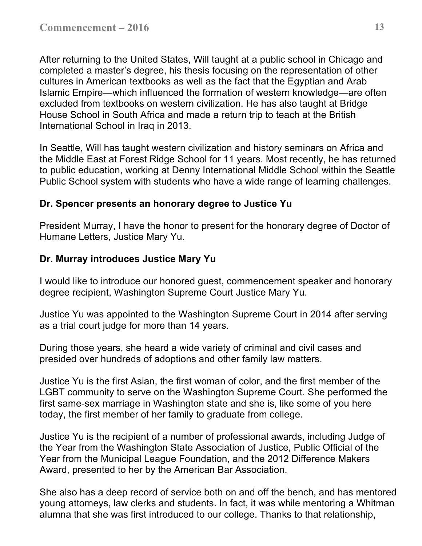After returning to the United States, Will taught at a public school in Chicago and completed a master's degree, his thesis focusing on the representation of other cultures in American textbooks as well as the fact that the Egyptian and Arab Islamic Empire—which influenced the formation of western knowledge—are often excluded from textbooks on western civilization. He has also taught at Bridge House School in South Africa and made a return trip to teach at the British International School in Iraq in 2013.

In Seattle, Will has taught western civilization and history seminars on Africa and the Middle East at Forest Ridge School for 11 years. Most recently, he has returned to public education, working at Denny International Middle School within the Seattle Public School system with students who have a wide range of learning challenges.

## **Dr. Spencer presents an honorary degree to Justice Yu**

President Murray, I have the honor to present for the honorary degree of Doctor of Humane Letters, Justice Mary Yu.

## **Dr. Murray introduces Justice Mary Yu**

I would like to introduce our honored guest, commencement speaker and honorary degree recipient, Washington Supreme Court Justice Mary Yu.

Justice Yu was appointed to the Washington Supreme Court in 2014 after serving as a trial court judge for more than 14 years.

During those years, she heard a wide variety of criminal and civil cases and presided over hundreds of adoptions and other family law matters.

Justice Yu is the first Asian, the first woman of color, and the first member of the LGBT community to serve on the Washington Supreme Court. She performed the first same-sex marriage in Washington state and she is, like some of you here today, the first member of her family to graduate from college.

Justice Yu is the recipient of a number of professional awards, including Judge of the Year from the Washington State Association of Justice, Public Official of the Year from the Municipal League Foundation, and the 2012 Difference Makers Award, presented to her by the American Bar Association.

She also has a deep record of service both on and off the bench, and has mentored young attorneys, law clerks and students. In fact, it was while mentoring a Whitman alumna that she was first introduced to our college. Thanks to that relationship,